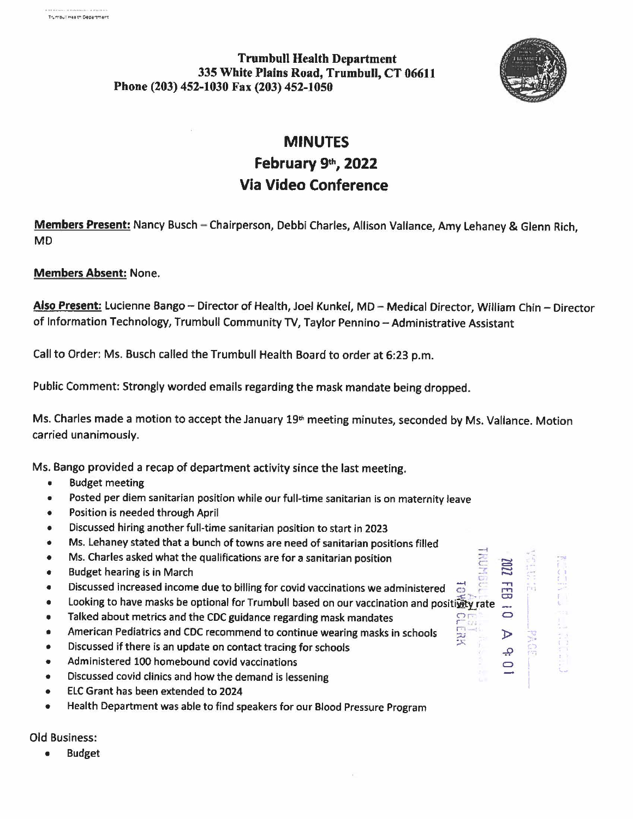**Trumbull Health Department 335 White Plains Road, Trumbull, CT 06611 Phone (203) 452-1030 Fax (203) 452-1050** 



r-,

...,  $\mathbb{F}$  $\overline{\mathbf{D}}$ 

مِ  $\bigcirc$  r  $\sim$   $\lambda$ r I

## **MINUTES**

## **February 9th, 2022 Via Video Conference**

**Members Present:** Nancy Busch - Chairperson, Debbi Charles, Allison Vallance, Amy Lehaney & Glenn Rich, MD

## **Members Absent:** None.

Also Present: Lucienne Bango - Director of Health, Joel Kunkel, MD - Medical Director, William Chin - Director of Information Technology, Trumbull Community TV, Taylor Pennino-Administrative Assistant

Call to Order: Ms. Busch called the Trumbull Health Board to order at 6:23 p.m.

Public Comment: Strongly worded emails regarding the mask mandate being dropped.

Ms. Charles made a motion to accept the January 19<sup>th</sup> meeting minutes, seconded by Ms. Vallance. Motion carried unanimously.

Ms. Bango provided a recap of department activity since the last meeting.

- Budget meeting
- Posted per diem sanitarian position while our full-time sanitarian is on maternity leave
- Position is needed through April
- Discussed hiring another full-time sanitarian position to start in 2023 •
- Ms. Lehaney stated that a bunch of towns are need of sanitarian positions filled •
- Ms. Charles asked what the qualifications are for a sanitarian position •
- •
- Budget hearing is in March<br>Discussed increased income due to billing for covid vaccinations we administered
- Looking to have masks be optional for Trumbull based on our vaccination and positivity rate
- Talked about metrics and the CDC guidance regarding mask mandates
- American Pediatrics and CDC recommend to continue **wearing** masks in schools
- Discussed if there is an update on contact tracing for schools
- Administered 100 homebound covid vaccinations
- Discussed covid clinics and how the demand is lessening
- ELC Grant has been extended to 2024
- Health Department was able to find speakers for our Blood Pressure Program

Old Business:

• Budget